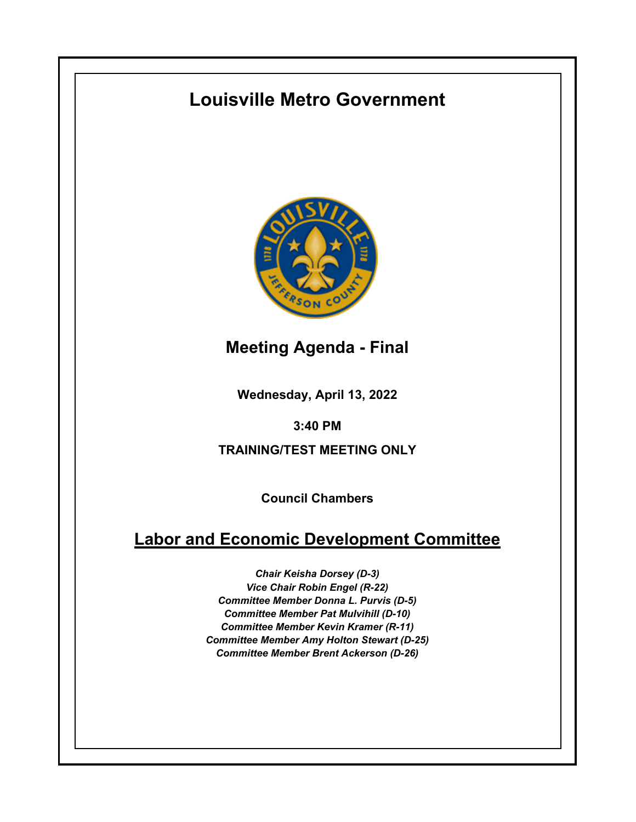# **Louisville Metro Government**



**Meeting Agenda - Final**

**Wednesday, April 13, 2022**

**3:40 PM**

**TRAINING/TEST MEETING ONLY**

**Council Chambers**

## **Labor and Economic Development Committee**

*Chair Keisha Dorsey (D-3) Vice Chair Robin Engel (R-22) Committee Member Donna L. Purvis (D-5) Committee Member Pat Mulvihill (D-10) Committee Member Kevin Kramer (R-11) Committee Member Amy Holton Stewart (D-25) Committee Member Brent Ackerson (D-26)*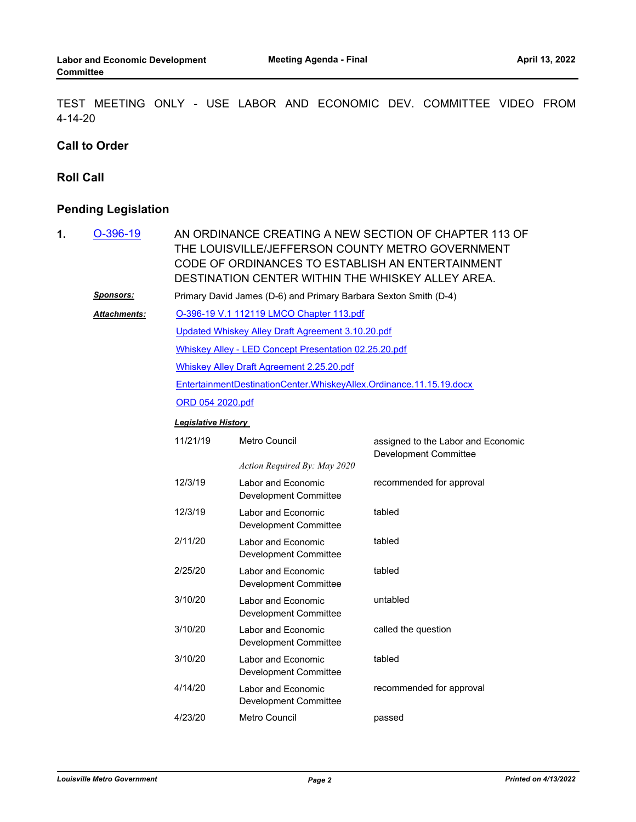TEST MEETING ONLY - USE LABOR AND ECONOMIC DEV. COMMITTEE VIDEO FROM 4-14-20

#### **Call to Order**

#### **Roll Call**

### **Pending Legislation**

| 1. | $O-396-19$          | AN ORDINANCE CREATING A NEW SECTION OF CHAPTER 113 OF<br>THE LOUISVILLE/JEFFERSON COUNTY METRO GOVERNMENT<br>CODE OF ORDINANCES TO ESTABLISH AN ENTERTAINMENT<br>DESTINATION CENTER WITHIN THE WHISKEY ALLEY AREA. |                                                    |                                                             |  |  |
|----|---------------------|--------------------------------------------------------------------------------------------------------------------------------------------------------------------------------------------------------------------|----------------------------------------------------|-------------------------------------------------------------|--|--|
|    | <b>Sponsors:</b>    | Primary David James (D-6) and Primary Barbara Sexton Smith (D-4)                                                                                                                                                   |                                                    |                                                             |  |  |
|    | <b>Attachments:</b> | O-396-19 V.1 112119 LMCO Chapter 113.pdf                                                                                                                                                                           |                                                    |                                                             |  |  |
|    |                     | Updated Whiskey Alley Draft Agreement 3.10.20.pdf                                                                                                                                                                  |                                                    |                                                             |  |  |
|    |                     | Whiskey Alley - LED Concept Presentation 02.25.20.pdf                                                                                                                                                              |                                                    |                                                             |  |  |
|    |                     | <b>Whiskey Alley Draft Agreement 2.25.20.pdf</b>                                                                                                                                                                   |                                                    |                                                             |  |  |
|    |                     | EntertainmentDestinationCenter.WhiskeyAllex.Ordinance.11.15.19.docx                                                                                                                                                |                                                    |                                                             |  |  |
|    |                     | ORD 054 2020.pdf                                                                                                                                                                                                   |                                                    |                                                             |  |  |
|    |                     | <b>Legislative History</b>                                                                                                                                                                                         |                                                    |                                                             |  |  |
|    |                     | 11/21/19                                                                                                                                                                                                           | Metro Council                                      | assigned to the Labor and Economic<br>Development Committee |  |  |
|    |                     |                                                                                                                                                                                                                    | Action Required By: May 2020                       |                                                             |  |  |
|    |                     | 12/3/19                                                                                                                                                                                                            | Labor and Economic<br><b>Development Committee</b> | recommended for approval                                    |  |  |
|    |                     | 12/3/19                                                                                                                                                                                                            | Labor and Economic<br><b>Development Committee</b> | tabled                                                      |  |  |
|    |                     | 2/11/20                                                                                                                                                                                                            | Labor and Economic<br><b>Development Committee</b> | tabled                                                      |  |  |
|    |                     | 2/25/20                                                                                                                                                                                                            | Labor and Economic<br><b>Development Committee</b> | tabled                                                      |  |  |
|    |                     | 3/10/20                                                                                                                                                                                                            | Labor and Economic<br>Development Committee        | untabled                                                    |  |  |
|    |                     | 3/10/20                                                                                                                                                                                                            | Labor and Economic<br>Development Committee        | called the question                                         |  |  |
|    |                     | 3/10/20                                                                                                                                                                                                            | Labor and Economic<br>Development Committee        | tabled                                                      |  |  |
|    |                     | 4/14/20                                                                                                                                                                                                            | Labor and Economic<br>Development Committee        | recommended for approval                                    |  |  |
|    |                     | 4/23/20                                                                                                                                                                                                            | Metro Council                                      | passed                                                      |  |  |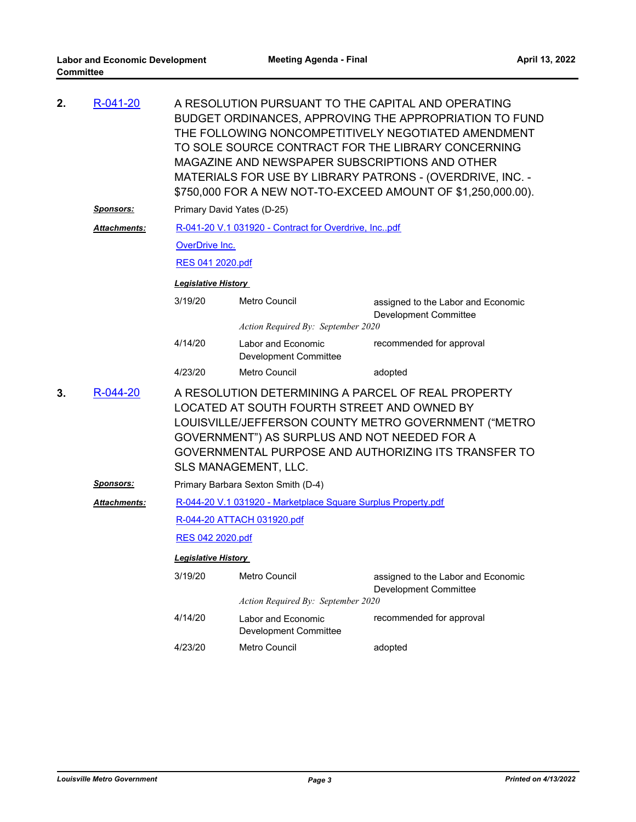| 2. | R-041-20         | A RESOLUTION PURSUANT TO THE CAPITAL AND OPERATING<br>BUDGET ORDINANCES, APPROVING THE APPROPRIATION TO FUND<br>THE FOLLOWING NONCOMPETITIVELY NEGOTIATED AMENDMENT<br>TO SOLE SOURCE CONTRACT FOR THE LIBRARY CONCERNING<br>MAGAZINE AND NEWSPAPER SUBSCRIPTIONS AND OTHER<br>MATERIALS FOR USE BY LIBRARY PATRONS - (OVERDRIVE, INC. -<br>\$750,000 FOR A NEW NOT-TO-EXCEED AMOUNT OF \$1,250,000.00). |                                                    |                                                             |  |  |  |
|----|------------------|----------------------------------------------------------------------------------------------------------------------------------------------------------------------------------------------------------------------------------------------------------------------------------------------------------------------------------------------------------------------------------------------------------|----------------------------------------------------|-------------------------------------------------------------|--|--|--|
|    | <b>Sponsors:</b> | Primary David Yates (D-25)                                                                                                                                                                                                                                                                                                                                                                               |                                                    |                                                             |  |  |  |
|    | Attachments:     | R-041-20 V.1 031920 - Contract for Overdrive, Incpdf                                                                                                                                                                                                                                                                                                                                                     |                                                    |                                                             |  |  |  |
|    |                  | <b>OverDrive Inc.</b>                                                                                                                                                                                                                                                                                                                                                                                    |                                                    |                                                             |  |  |  |
|    |                  | <u>RES 041 2020.pdf</u>                                                                                                                                                                                                                                                                                                                                                                                  |                                                    |                                                             |  |  |  |
|    |                  | <b>Legislative History</b>                                                                                                                                                                                                                                                                                                                                                                               |                                                    |                                                             |  |  |  |
|    |                  | 3/19/20                                                                                                                                                                                                                                                                                                                                                                                                  | <b>Metro Council</b>                               | assigned to the Labor and Economic<br>Development Committee |  |  |  |
|    |                  | Action Required By: September 2020                                                                                                                                                                                                                                                                                                                                                                       |                                                    |                                                             |  |  |  |
|    |                  | 4/14/20                                                                                                                                                                                                                                                                                                                                                                                                  | Labor and Economic<br>Development Committee        | recommended for approval                                    |  |  |  |
|    |                  | 4/23/20                                                                                                                                                                                                                                                                                                                                                                                                  | Metro Council                                      | adopted                                                     |  |  |  |
| 3. | R-044-20         | A RESOLUTION DETERMINING A PARCEL OF REAL PROPERTY<br>LOCATED AT SOUTH FOURTH STREET AND OWNED BY<br>LOUISVILLE/JEFFERSON COUNTY METRO GOVERNMENT ("METRO<br>GOVERNMENT") AS SURPLUS AND NOT NEEDED FOR A<br>GOVERNMENTAL PURPOSE AND AUTHORIZING ITS TRANSFER TO<br>SLS MANAGEMENT, LLC.                                                                                                                |                                                    |                                                             |  |  |  |
|    | <u>Sponsors:</u> | Primary Barbara Sexton Smith (D-4)                                                                                                                                                                                                                                                                                                                                                                       |                                                    |                                                             |  |  |  |
|    | Attachments:     | R-044-20 V.1 031920 - Marketplace Square Surplus Property.pdf                                                                                                                                                                                                                                                                                                                                            |                                                    |                                                             |  |  |  |
|    |                  | R-044-20 ATTACH 031920.pdf                                                                                                                                                                                                                                                                                                                                                                               |                                                    |                                                             |  |  |  |
|    |                  | RES 042 2020.pdf                                                                                                                                                                                                                                                                                                                                                                                         |                                                    |                                                             |  |  |  |
|    |                  | <b>Legislative History</b>                                                                                                                                                                                                                                                                                                                                                                               |                                                    |                                                             |  |  |  |
|    |                  | 3/19/20                                                                                                                                                                                                                                                                                                                                                                                                  | Metro Council                                      | assigned to the Labor and Economic<br>Development Committee |  |  |  |
|    |                  | Action Required By: September 2020                                                                                                                                                                                                                                                                                                                                                                       |                                                    |                                                             |  |  |  |
|    |                  | 4/14/20                                                                                                                                                                                                                                                                                                                                                                                                  | Labor and Economic<br><b>Development Committee</b> | recommended for approval                                    |  |  |  |
|    |                  | 4/23/20                                                                                                                                                                                                                                                                                                                                                                                                  | Metro Council                                      | adopted                                                     |  |  |  |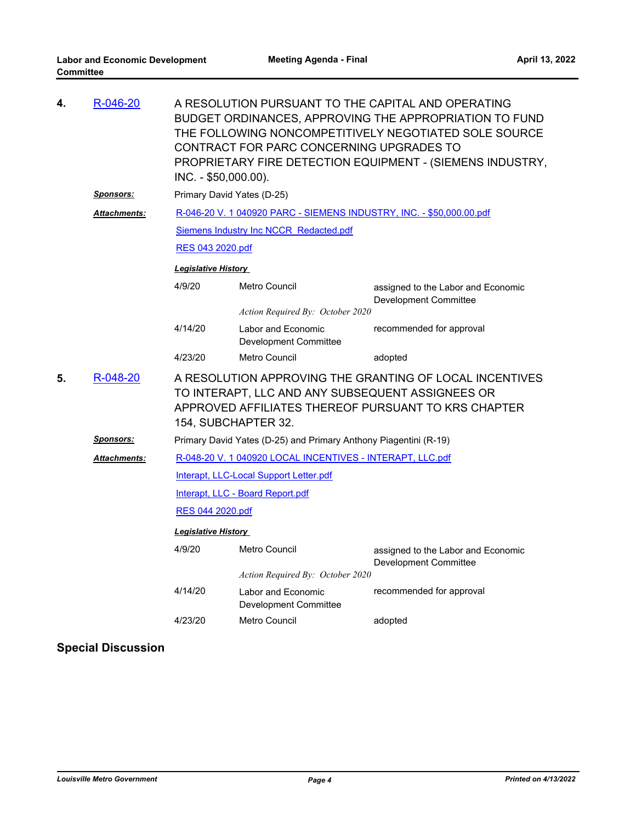| 4. | R-046-20             | A RESOLUTION PURSUANT TO THE CAPITAL AND OPERATING<br>BUDGET ORDINANCES, APPROVING THE APPROPRIATION TO FUND<br>THE FOLLOWING NONCOMPETITIVELY NEGOTIATED SOLE SOURCE<br>CONTRACT FOR PARC CONCERNING UPGRADES TO<br>PROPRIETARY FIRE DETECTION EQUIPMENT - (SIEMENS INDUSTRY,<br>INC. - \$50,000.00). |                                                    |                                                                    |  |  |  |
|----|----------------------|--------------------------------------------------------------------------------------------------------------------------------------------------------------------------------------------------------------------------------------------------------------------------------------------------------|----------------------------------------------------|--------------------------------------------------------------------|--|--|--|
|    | <u>Sponsors:</u>     | Primary David Yates (D-25)                                                                                                                                                                                                                                                                             |                                                    |                                                                    |  |  |  |
|    | Attachments:         | R-046-20 V. 1 040920 PARC - SIEMENS INDUSTRY, INC. - \$50,000.00.pdf                                                                                                                                                                                                                                   |                                                    |                                                                    |  |  |  |
|    |                      | Siemens Industry Inc NCCR Redacted.pdf                                                                                                                                                                                                                                                                 |                                                    |                                                                    |  |  |  |
|    |                      | RES 043 2020.pdf                                                                                                                                                                                                                                                                                       |                                                    |                                                                    |  |  |  |
|    |                      | Legislative History                                                                                                                                                                                                                                                                                    |                                                    |                                                                    |  |  |  |
|    |                      | 4/9/20                                                                                                                                                                                                                                                                                                 | Metro Council                                      | assigned to the Labor and Economic<br><b>Development Committee</b> |  |  |  |
|    |                      |                                                                                                                                                                                                                                                                                                        | Action Required By: October 2020                   |                                                                    |  |  |  |
|    |                      | 4/14/20                                                                                                                                                                                                                                                                                                | Labor and Economic<br>Development Committee        | recommended for approval                                           |  |  |  |
|    |                      | 4/23/20                                                                                                                                                                                                                                                                                                | Metro Council                                      | adopted                                                            |  |  |  |
| 5. | R-048-20             | A RESOLUTION APPROVING THE GRANTING OF LOCAL INCENTIVES<br>TO INTERAPT, LLC AND ANY SUBSEQUENT ASSIGNEES OR<br>APPROVED AFFILIATES THEREOF PURSUANT TO KRS CHAPTER<br>154, SUBCHAPTER 32.                                                                                                              |                                                    |                                                                    |  |  |  |
|    | <u>Sponsors:</u>     | Primary David Yates (D-25) and Primary Anthony Piagentini (R-19)                                                                                                                                                                                                                                       |                                                    |                                                                    |  |  |  |
|    | <u> Attachments:</u> | R-048-20 V. 1 040920 LOCAL INCENTIVES - INTERAPT, LLC.pdf                                                                                                                                                                                                                                              |                                                    |                                                                    |  |  |  |
|    |                      | Interapt, LLC-Local Support Letter.pdf                                                                                                                                                                                                                                                                 |                                                    |                                                                    |  |  |  |
|    |                      | Interapt, LLC - Board Report.pdf                                                                                                                                                                                                                                                                       |                                                    |                                                                    |  |  |  |
|    |                      | RES 044 2020.pdf                                                                                                                                                                                                                                                                                       |                                                    |                                                                    |  |  |  |
|    |                      | <b>Legislative History</b>                                                                                                                                                                                                                                                                             |                                                    |                                                                    |  |  |  |
|    |                      | 4/9/20                                                                                                                                                                                                                                                                                                 | Metro Council                                      | assigned to the Labor and Economic<br><b>Development Committee</b> |  |  |  |
|    |                      |                                                                                                                                                                                                                                                                                                        | Action Required By: October 2020                   |                                                                    |  |  |  |
|    |                      | 4/14/20                                                                                                                                                                                                                                                                                                | Labor and Economic<br><b>Development Committee</b> | recommended for approval                                           |  |  |  |
|    |                      | 4/23/20                                                                                                                                                                                                                                                                                                | Metro Council                                      | adopted                                                            |  |  |  |
|    |                      |                                                                                                                                                                                                                                                                                                        |                                                    |                                                                    |  |  |  |

### **Special Discussion**